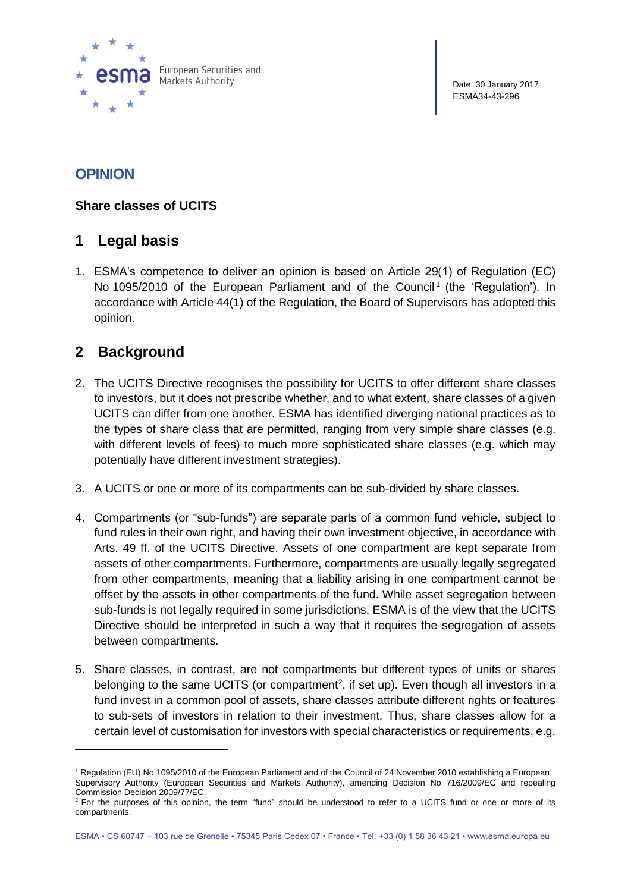

Date: 30 January 2017 ESMA34-43-296

# **OPINION**

#### **Share classes of UCITS**

### **1 Legal basis**

1. ESMA's competence to deliver an opinion is based on Article 29(1) of Regulation (EC) No 1095/2010 of the European Parliament and of the Council<sup>1</sup> (the 'Regulation'). In accordance with Article 44(1) of the Regulation, the Board of Supervisors has adopted this opinion.

## **2 Background**

 $\overline{a}$ 

- 2. The UCITS Directive recognises the possibility for UCITS to offer different share classes to investors, but it does not prescribe whether, and to what extent, share classes of a given UCITS can differ from one another. ESMA has identified diverging national practices as to the types of share class that are permitted, ranging from very simple share classes (e.g. with different levels of fees) to much more sophisticated share classes (e.g. which may potentially have different investment strategies).
- 3. A UCITS or one or more of its compartments can be sub-divided by share classes.
- 4. Compartments (or "sub-funds") are separate parts of a common fund vehicle, subject to fund rules in their own right, and having their own investment objective, in accordance with Arts. 49 ff. of the UCITS Directive. Assets of one compartment are kept separate from assets of other compartments. Furthermore, compartments are usually legally segregated from other compartments, meaning that a liability arising in one compartment cannot be offset by the assets in other compartments of the fund. While asset segregation between sub-funds is not legally required in some jurisdictions, ESMA is of the view that the UCITS Directive should be interpreted in such a way that it requires the segregation of assets between compartments.
- 5. Share classes, in contrast, are not compartments but different types of units or shares belonging to the same UCITS (or compartment<sup>2</sup>, if set up). Even though all investors in a fund invest in a common pool of assets, share classes attribute different rights or features to sub-sets of investors in relation to their investment. Thus, share classes allow for a certain level of customisation for investors with special characteristics or requirements, e.g.

<sup>1</sup> Regulation (EU) No 1095/2010 of the European Parliament and of the Council of 24 November 2010 establishing a European Supervisory Authority (European Securities and Markets Authority), amending Decision No 716/2009/EC and repealing Commission Decision 2009/77/EC.

 $2$  For the purposes of this opinion, the term "fund" should be understood to refer to a UCITS fund or one or more of its compartments.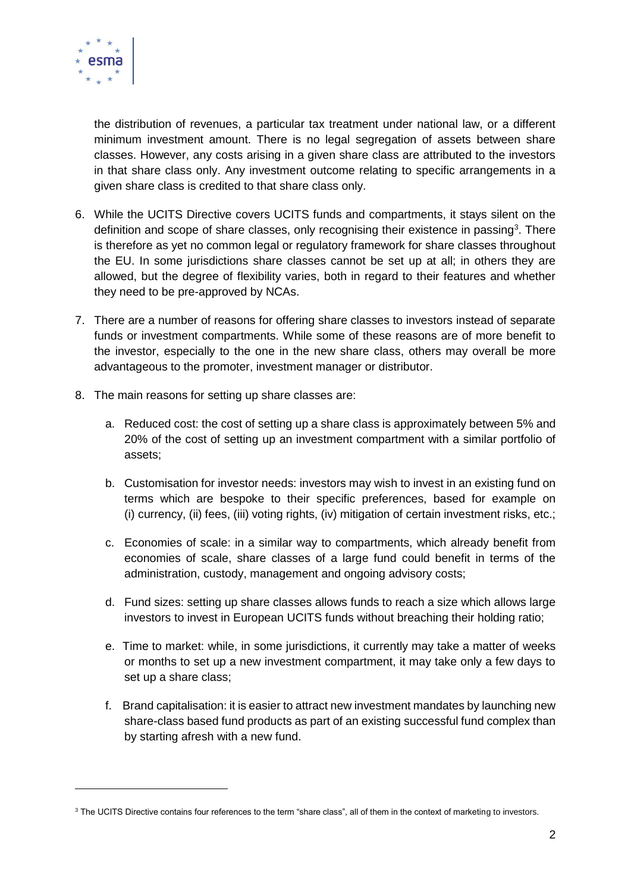

 $\overline{a}$ 

the distribution of revenues, a particular tax treatment under national law, or a different minimum investment amount. There is no legal segregation of assets between share classes. However, any costs arising in a given share class are attributed to the investors in that share class only. Any investment outcome relating to specific arrangements in a given share class is credited to that share class only.

- 6. While the UCITS Directive covers UCITS funds and compartments, it stays silent on the definition and scope of share classes, only recognising their existence in passing<sup>3</sup>. There is therefore as yet no common legal or regulatory framework for share classes throughout the EU. In some jurisdictions share classes cannot be set up at all; in others they are allowed, but the degree of flexibility varies, both in regard to their features and whether they need to be pre-approved by NCAs.
- 7. There are a number of reasons for offering share classes to investors instead of separate funds or investment compartments. While some of these reasons are of more benefit to the investor, especially to the one in the new share class, others may overall be more advantageous to the promoter, investment manager or distributor.
- 8. The main reasons for setting up share classes are:
	- a. Reduced cost: the cost of setting up a share class is approximately between 5% and 20% of the cost of setting up an investment compartment with a similar portfolio of assets;
	- b. Customisation for investor needs: investors may wish to invest in an existing fund on terms which are bespoke to their specific preferences, based for example on (i) currency, (ii) fees, (iii) voting rights, (iv) mitigation of certain investment risks, etc.;
	- c. Economies of scale: in a similar way to compartments, which already benefit from economies of scale, share classes of a large fund could benefit in terms of the administration, custody, management and ongoing advisory costs;
	- d. Fund sizes: setting up share classes allows funds to reach a size which allows large investors to invest in European UCITS funds without breaching their holding ratio;
	- e. Time to market: while, in some jurisdictions, it currently may take a matter of weeks or months to set up a new investment compartment, it may take only a few days to set up a share class;
	- f. Brand capitalisation: it is easier to attract new investment mandates by launching new share-class based fund products as part of an existing successful fund complex than by starting afresh with a new fund.

<sup>&</sup>lt;sup>3</sup> The UCITS Directive contains four references to the term "share class", all of them in the context of marketing to investors.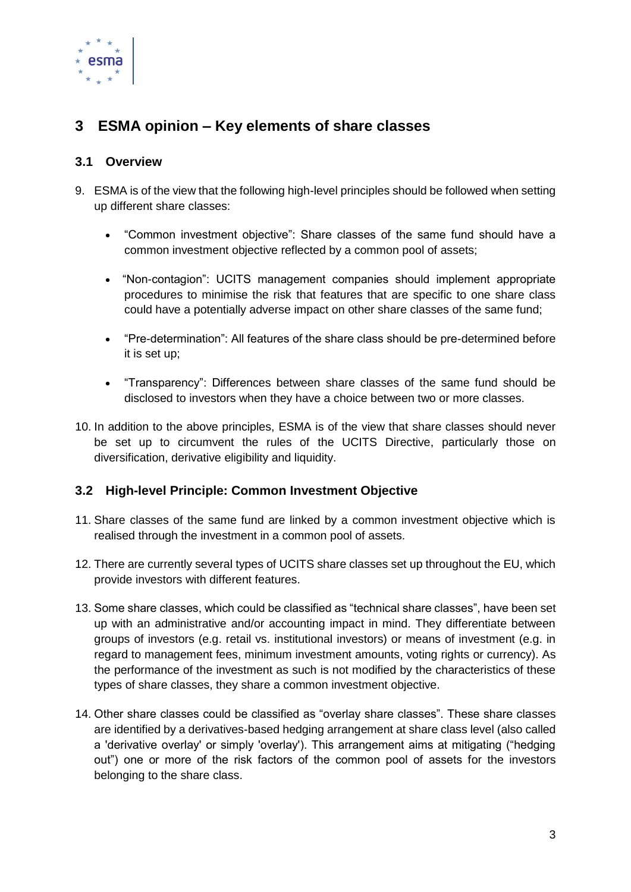

# **3 ESMA opinion – Key elements of share classes**

### **3.1 Overview**

- 9. ESMA is of the view that the following high-level principles should be followed when setting up different share classes:
	- "Common investment objective": Share classes of the same fund should have a common investment objective reflected by a common pool of assets;
	- "Non-contagion": UCITS management companies should implement appropriate procedures to minimise the risk that features that are specific to one share class could have a potentially adverse impact on other share classes of the same fund;
	- "Pre-determination": All features of the share class should be pre-determined before it is set up;
	- "Transparency": Differences between share classes of the same fund should be disclosed to investors when they have a choice between two or more classes.
- 10. In addition to the above principles, ESMA is of the view that share classes should never be set up to circumvent the rules of the UCITS Directive, particularly those on diversification, derivative eligibility and liquidity.

#### **3.2 High-level Principle: Common Investment Objective**

- 11. Share classes of the same fund are linked by a common investment objective which is realised through the investment in a common pool of assets.
- 12. There are currently several types of UCITS share classes set up throughout the EU, which provide investors with different features.
- 13. Some share classes, which could be classified as "technical share classes", have been set up with an administrative and/or accounting impact in mind. They differentiate between groups of investors (e.g. retail vs. institutional investors) or means of investment (e.g. in regard to management fees, minimum investment amounts, voting rights or currency). As the performance of the investment as such is not modified by the characteristics of these types of share classes, they share a common investment objective.
- 14. Other share classes could be classified as "overlay share classes". These share classes are identified by a derivatives-based hedging arrangement at share class level (also called a 'derivative overlay' or simply 'overlay'). This arrangement aims at mitigating ("hedging out") one or more of the risk factors of the common pool of assets for the investors belonging to the share class.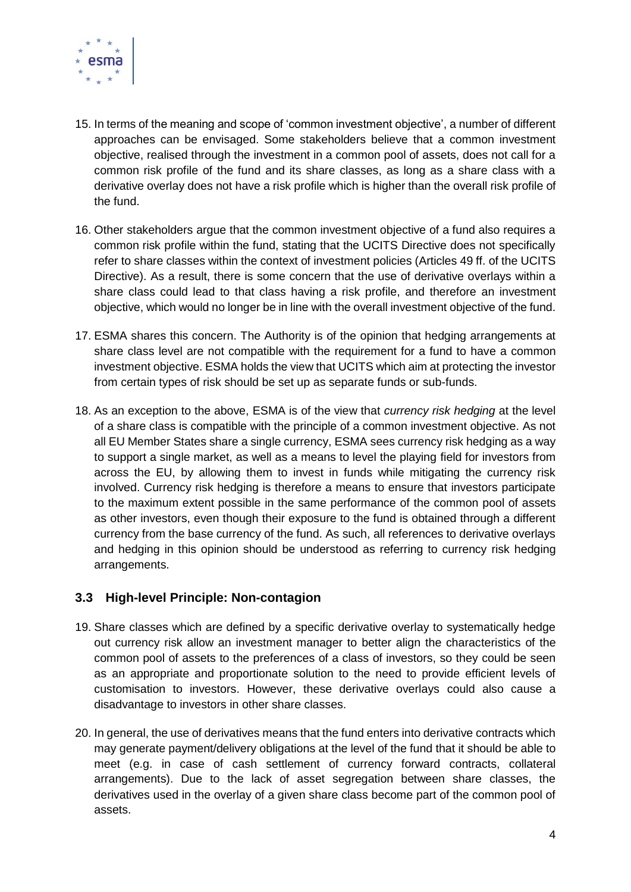

- 15. In terms of the meaning and scope of 'common investment objective', a number of different approaches can be envisaged. Some stakeholders believe that a common investment objective, realised through the investment in a common pool of assets, does not call for a common risk profile of the fund and its share classes, as long as a share class with a derivative overlay does not have a risk profile which is higher than the overall risk profile of the fund.
- 16. Other stakeholders argue that the common investment objective of a fund also requires a common risk profile within the fund, stating that the UCITS Directive does not specifically refer to share classes within the context of investment policies (Articles 49 ff. of the UCITS Directive). As a result, there is some concern that the use of derivative overlays within a share class could lead to that class having a risk profile, and therefore an investment objective, which would no longer be in line with the overall investment objective of the fund.
- 17. ESMA shares this concern. The Authority is of the opinion that hedging arrangements at share class level are not compatible with the requirement for a fund to have a common investment objective. ESMA holds the view that UCITS which aim at protecting the investor from certain types of risk should be set up as separate funds or sub-funds.
- 18. As an exception to the above, ESMA is of the view that *currency risk hedging* at the level of a share class is compatible with the principle of a common investment objective. As not all EU Member States share a single currency, ESMA sees currency risk hedging as a way to support a single market, as well as a means to level the playing field for investors from across the EU, by allowing them to invest in funds while mitigating the currency risk involved. Currency risk hedging is therefore a means to ensure that investors participate to the maximum extent possible in the same performance of the common pool of assets as other investors, even though their exposure to the fund is obtained through a different currency from the base currency of the fund. As such, all references to derivative overlays and hedging in this opinion should be understood as referring to currency risk hedging arrangements.

#### **3.3 High-level Principle: Non-contagion**

- 19. Share classes which are defined by a specific derivative overlay to systematically hedge out currency risk allow an investment manager to better align the characteristics of the common pool of assets to the preferences of a class of investors, so they could be seen as an appropriate and proportionate solution to the need to provide efficient levels of customisation to investors. However, these derivative overlays could also cause a disadvantage to investors in other share classes.
- 20. In general, the use of derivatives means that the fund enters into derivative contracts which may generate payment/delivery obligations at the level of the fund that it should be able to meet (e.g. in case of cash settlement of currency forward contracts, collateral arrangements). Due to the lack of asset segregation between share classes, the derivatives used in the overlay of a given share class become part of the common pool of assets.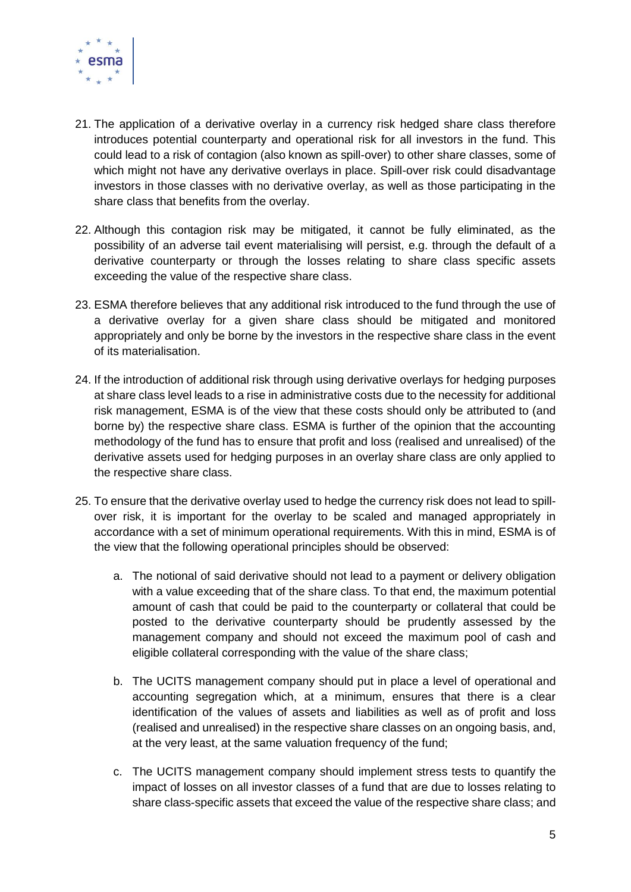

- 21. The application of a derivative overlay in a currency risk hedged share class therefore introduces potential counterparty and operational risk for all investors in the fund. This could lead to a risk of contagion (also known as spill-over) to other share classes, some of which might not have any derivative overlays in place. Spill-over risk could disadvantage investors in those classes with no derivative overlay, as well as those participating in the share class that benefits from the overlay.
- 22. Although this contagion risk may be mitigated, it cannot be fully eliminated, as the possibility of an adverse tail event materialising will persist, e.g. through the default of a derivative counterparty or through the losses relating to share class specific assets exceeding the value of the respective share class.
- 23. ESMA therefore believes that any additional risk introduced to the fund through the use of a derivative overlay for a given share class should be mitigated and monitored appropriately and only be borne by the investors in the respective share class in the event of its materialisation.
- 24. If the introduction of additional risk through using derivative overlays for hedging purposes at share class level leads to a rise in administrative costs due to the necessity for additional risk management, ESMA is of the view that these costs should only be attributed to (and borne by) the respective share class. ESMA is further of the opinion that the accounting methodology of the fund has to ensure that profit and loss (realised and unrealised) of the derivative assets used for hedging purposes in an overlay share class are only applied to the respective share class.
- 25. To ensure that the derivative overlay used to hedge the currency risk does not lead to spillover risk, it is important for the overlay to be scaled and managed appropriately in accordance with a set of minimum operational requirements. With this in mind, ESMA is of the view that the following operational principles should be observed:
	- a. The notional of said derivative should not lead to a payment or delivery obligation with a value exceeding that of the share class. To that end, the maximum potential amount of cash that could be paid to the counterparty or collateral that could be posted to the derivative counterparty should be prudently assessed by the management company and should not exceed the maximum pool of cash and eligible collateral corresponding with the value of the share class;
	- b. The UCITS management company should put in place a level of operational and accounting segregation which, at a minimum, ensures that there is a clear identification of the values of assets and liabilities as well as of profit and loss (realised and unrealised) in the respective share classes on an ongoing basis, and, at the very least, at the same valuation frequency of the fund;
	- c. The UCITS management company should implement stress tests to quantify the impact of losses on all investor classes of a fund that are due to losses relating to share class-specific assets that exceed the value of the respective share class; and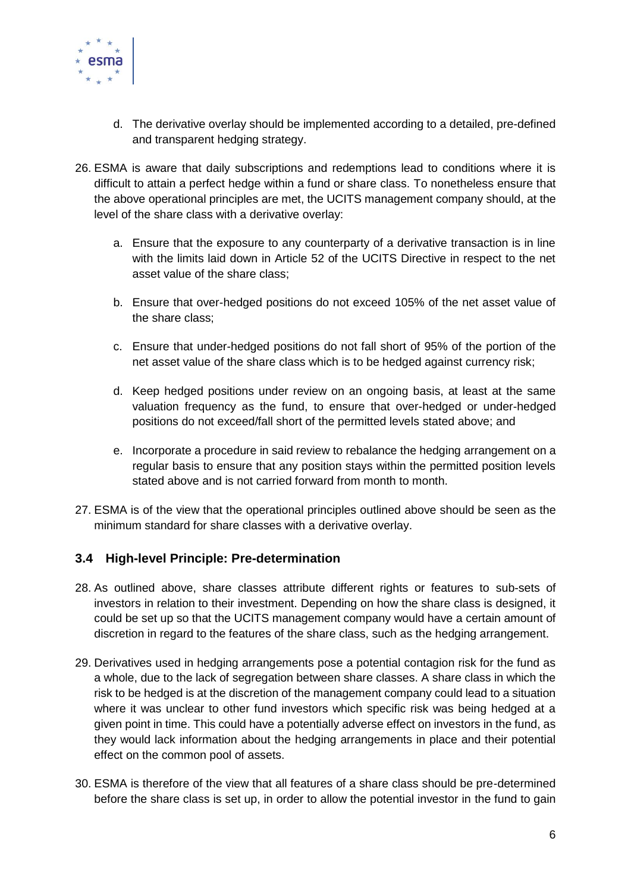

- d. The derivative overlay should be implemented according to a detailed, pre-defined and transparent hedging strategy.
- 26. ESMA is aware that daily subscriptions and redemptions lead to conditions where it is difficult to attain a perfect hedge within a fund or share class. To nonetheless ensure that the above operational principles are met, the UCITS management company should, at the level of the share class with a derivative overlay:
	- a. Ensure that the exposure to any counterparty of a derivative transaction is in line with the limits laid down in Article 52 of the UCITS Directive in respect to the net asset value of the share class;
	- b. Ensure that over-hedged positions do not exceed 105% of the net asset value of the share class;
	- c. Ensure that under-hedged positions do not fall short of 95% of the portion of the net asset value of the share class which is to be hedged against currency risk;
	- d. Keep hedged positions under review on an ongoing basis, at least at the same valuation frequency as the fund, to ensure that over-hedged or under-hedged positions do not exceed/fall short of the permitted levels stated above; and
	- e. Incorporate a procedure in said review to rebalance the hedging arrangement on a regular basis to ensure that any position stays within the permitted position levels stated above and is not carried forward from month to month.
- 27. ESMA is of the view that the operational principles outlined above should be seen as the minimum standard for share classes with a derivative overlay.

#### **3.4 High-level Principle: Pre-determination**

- 28. As outlined above, share classes attribute different rights or features to sub-sets of investors in relation to their investment. Depending on how the share class is designed, it could be set up so that the UCITS management company would have a certain amount of discretion in regard to the features of the share class, such as the hedging arrangement.
- 29. Derivatives used in hedging arrangements pose a potential contagion risk for the fund as a whole, due to the lack of segregation between share classes. A share class in which the risk to be hedged is at the discretion of the management company could lead to a situation where it was unclear to other fund investors which specific risk was being hedged at a given point in time. This could have a potentially adverse effect on investors in the fund, as they would lack information about the hedging arrangements in place and their potential effect on the common pool of assets.
- 30. ESMA is therefore of the view that all features of a share class should be pre-determined before the share class is set up, in order to allow the potential investor in the fund to gain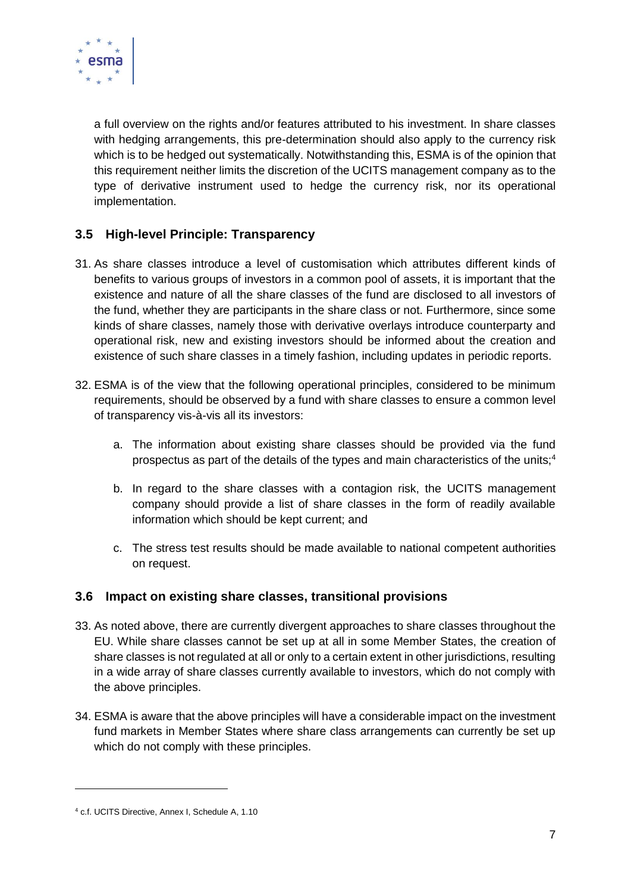

a full overview on the rights and/or features attributed to his investment. In share classes with hedging arrangements, this pre-determination should also apply to the currency risk which is to be hedged out systematically. Notwithstanding this, ESMA is of the opinion that this requirement neither limits the discretion of the UCITS management company as to the type of derivative instrument used to hedge the currency risk, nor its operational implementation.

### **3.5 High-level Principle: Transparency**

- 31. As share classes introduce a level of customisation which attributes different kinds of benefits to various groups of investors in a common pool of assets, it is important that the existence and nature of all the share classes of the fund are disclosed to all investors of the fund, whether they are participants in the share class or not. Furthermore, since some kinds of share classes, namely those with derivative overlays introduce counterparty and operational risk, new and existing investors should be informed about the creation and existence of such share classes in a timely fashion, including updates in periodic reports.
- 32. ESMA is of the view that the following operational principles, considered to be minimum requirements, should be observed by a fund with share classes to ensure a common level of transparency vis-à-vis all its investors:
	- a. The information about existing share classes should be provided via the fund prospectus as part of the details of the types and main characteristics of the units;<sup>4</sup>
	- b. In regard to the share classes with a contagion risk, the UCITS management company should provide a list of share classes in the form of readily available information which should be kept current; and
	- c. The stress test results should be made available to national competent authorities on request.

#### **3.6 Impact on existing share classes, transitional provisions**

- 33. As noted above, there are currently divergent approaches to share classes throughout the EU. While share classes cannot be set up at all in some Member States, the creation of share classes is not regulated at all or only to a certain extent in other jurisdictions, resulting in a wide array of share classes currently available to investors, which do not comply with the above principles.
- 34. ESMA is aware that the above principles will have a considerable impact on the investment fund markets in Member States where share class arrangements can currently be set up which do not comply with these principles.

 $\overline{a}$ 

<sup>4</sup> c.f. UCITS Directive, Annex I, Schedule A, 1.10